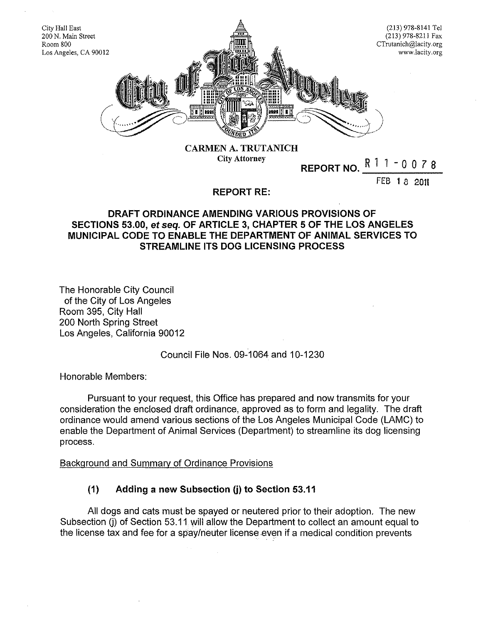

City Attorney

**REPORT NO.** R l l - 0 0 *7* 8

fEB I 8 2011

### **REPORT RE:**

# **DRAFT ORDINANCE AMENDING VARIOUS PROVISIONS OF SECTIONS 53.00, et seq. OF ARTICLE 3, CHAPTER 5 OF THE LOS ANGELES MUNICIPAL CODE TO ENABLE THE DEPARTMENT OF ANIMAL SERVICES TO STREAMLINE ITS DOG LICENSING PROCESS**

The Honorable City Council of the City of Los Angeles Room 395, City Hall 200 North Spring Street Los Angeles, California 90012

# Council File Nos. 09-1064 and 10-1230

Honorable Members:

Pursuant to your request, this Office has prepared and now transmits for your consideration the enclosed draft ordinance, approved as to form and legality. The draft ordinance would amend various sections of the Los Angeles Municipal Code (LAMC) to enable the Department of Animal Services (Department) to streamline its dog licensing process.

#### Background and Summary of Ordinance Provisions

# **(1) Adding a new Subsection (j) to Section 53.11**

All dogs and cats must be spayed or neutered prior to their adoption. The new Subsection (i) of Section 53.11 will allow the Department to collect an amount equal to the license tax and fee for a spay/neuter license even if a medical condition prevents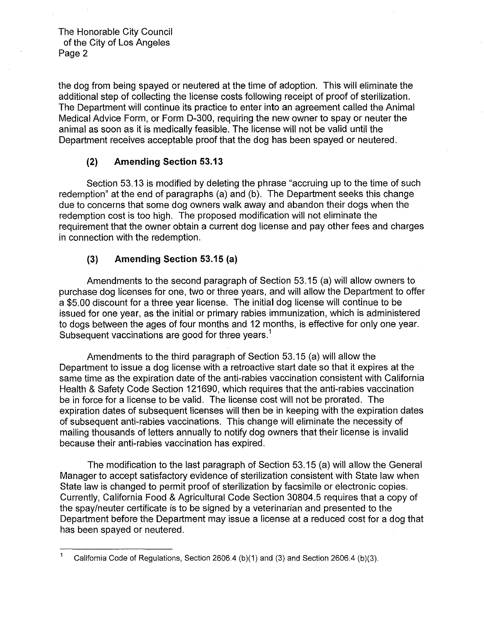the dog from being spayed or neutered at the time of adoption. This will eliminate the additional step of collecting the license costs following receipt of proof of sterilization. The Department will continue its practice to enter into an agreement called the Animal Medical Advice Form, or Form D-300, requiring the new owner to spay or neuter the animal as soon as it is medically feasible. The license will not be valid until the Department receives acceptable proof that the dog has been spayed or neutered.

# **(2) Amending Section 53.13**

Section 53.13 is modified by deleting the phrase "accruing up to the time of such redemption" at the end of paragraphs (a) and (b). The Department seeks this change due to concerns that some dog owners walk away and abandon their dogs when the redemption cost is too high. The proposed modification will not eliminate the requirement that the owner obtain a current dog license and pay other fees and charges in connection with the redemption.

### **(3) Amending Section 53.15 (a)**

Amendments to the second paragraph of Section 53.15 (a) will allow owners to purchase dog licenses for one, two or three years, and will allow the Department to offer a \$5.00 discount for a three year license. The initial dog license will continue to be issued for one year, as the initial or primary rabies immunization, which is administered to dogs between the ages of four months and 12 months, is effective for only one year. Subsequent vaccinations are good for three years.<sup>1</sup>

Amendments to the third paragraph of Section 53.15 (a) will allow the Department to issue a dog license with a retroactive start date so that it expires at the same time as the expiration date of the anti-rabies vaccination consistent with California Health & Safety Code Section 121690, which requires that the anti-rabies vaccination be in force for a license to be valid. The license cost will not be prorated. The expiration dates of subsequent licenses will then be in keeping with the expiration dates of subsequent anti-rabies vaccinations. This change will eliminate the necessity of mailing thousands of letters annually to notify dog owners that their license is invalid because their anti-rabies vaccination has expired.

The modification to the last paragraph of Section 53.15 (a) will allow the General Manager to accept satisfactory evidence of sterilization consistent with State law when State law is changed to permit proof of sterilization by facsimile or electronic copies. Currently, California Food & Agricultural Code Section 30804.5 requires that a copy of the spay/neuter certificate is to be signed by a veterinarian and presented to the Department before the Department may issue a license at a reduced cost for a dog that has been spayed or neutered.

<sup>1</sup> California Code of Regulations, Section 2606.4 (b)(1) and (3) and Section 2606.4 (b)(3).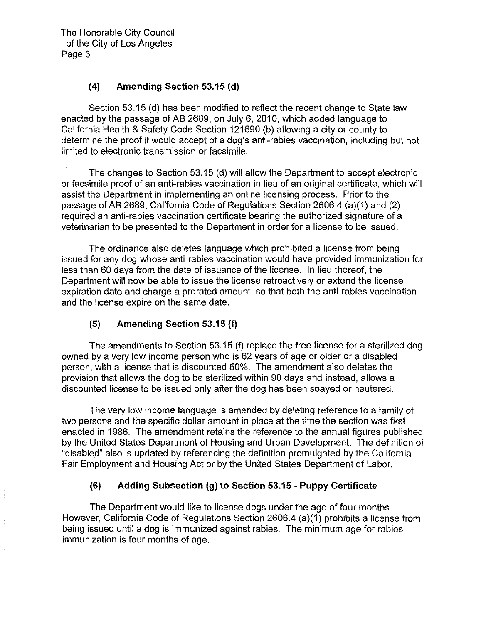# **(4) Amending Section 53.15** (d)

Section 53.15 (d) has been modified to reflect the recent change to State law enacted by the passage of AB 2689, on July 6, 2010, which added language to California Health & Safety Code Section 121690 (b) allowing a city or county to determine the proof it would accept of a dog's anti-rabies vaccination, including but not limited to electronic transmission or facsimile.

The changes to Section 53.15 (d) will allow the Department to accept electronic or facsimile proof of an anti-rabies vaccination in lieu of an original certificate, which will assist the Department in implementing an online licensing process. Prior to the passage of AB 2689, California Code of Regulations Section 2606.4 (a)(1) and (2) required an anti-rabies vaccination certificate bearing the authorized signature of a veterinarian to be presented to the Department in order for a license to be issued.

The ordinance also deletes language which prohibited a license from being issued for any dog whose anti-rabies vaccination would have provided immunization for less than 60 days from the date of issuance of the license. In lieu thereof, the Department will now be able to issue the license retroactively or extend the license expiration date and charge a prorated amount, so that both the anti-rabies vaccination and the license expire on the same date.

#### **(5) Amending Section 53.15 (f)**

The amendments to Section 53.15 (f) replace the free license for a sterilized dog owned by a very low income person who is 62 years of age or older or a disabled person, with a license that is discounted 50%. The amendment also deletes the provision that allows the dog to be sterilized within 90 days and instead, allows a discounted license to be issued only after the dog has been spayed or neutered.

The very low income language is amended by deleting reference to a family of two persons and the specific dollar amount in place at the time the section was first enacted in 1986. The amendment retains the reference to the annual figures published by the United States Department of Housing and Urban Development. The definition of "disabled" also is updated by referencing the definition promulgated by the California Fair Employment and Housing Act or by the United States Department of Labor.

#### **(6) Adding Subsection (g) to Section 53.15- Puppy Certificate**

The Department would like to license dogs under the age of four months. However, California Code of Regulations Section 2606.4 (a)(1) prohibits a license from being issued until a dog is immunized against rabies. The minimum age for rabies immunization is four months of age.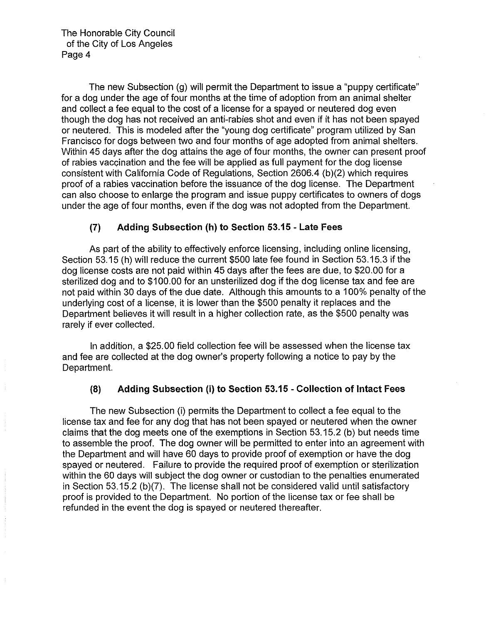The new Subsection (g) will permit the Department to issue a "puppy certificate" for a dog under the age of four months at the time of adoption from an animal shelter and collect a fee equal to the cost of a license for a spayed or neutered dog even though the dog has not received an anti-rabies shot and even if it has not been spayed or neutered. This is modeled after the "young dog certificate" program utilized by San Francisco for dogs between two and four months of age adopted from animal shelters. Within 45 days after the dog attains the age of four months, the owner can present proof of rabies vaccination and the fee will be applied as full payment for the dog license consistent with California Code of Regulations, Section 2606.4 (b)(2) which requires proof of a rabies vaccination before the issuance of the dog license. The Department can also choose to enlarge the program and issue puppy certificates to owners of dogs under the age of four months, even if the dog was not adopted from the Department.

# **(7) Adding Subsection (h) to Section 53.15- Late Fees**

As part of the ability to effectively enforce licensing, including online licensing, Section 53.15 (h) will reduce the current \$500 late fee found in Section 53.15.3 if the dog license costs are not paid within 45 days after the fees are due, to \$20.00 for a sterilized dog and to \$100.00 for an unsterilized dog if the dog license tax and fee are not paid within 30 days of the due date. Although this amounts to a 1 00% penalty of the underlying cost of a license, it is lower than the \$500 penalty it replaces and the Department believes it will result in a higher collection rate, as the \$500 penalty was rarely if ever collected.

In addition, a \$25.00 field collection fee will be assessed when the license tax and fee are collected at the dog owner's property following a notice to pay by the Department.

# **(8) Adding Subsection (i) to Section 53.15- Collection of Intact Fees**

The new Subsection (i) permits the Department to collect a fee equal to the license tax and fee for any dog that has not been spayed or neutered when the owner claims that the dog meets one of the exemptions in Section 53.15.2 (b) but needs time to assemble the proof. The dog owner will be permitted to enter into an agreement with the Department and will have 60 days to provide proof of exemption or have the dog spayed or neutered. Failure to provide the required proof of exemption or sterilization within the 60 days will subject the dog owner or custodian to the penalties enumerated in Section 53.15.2 (b)(7). The license shall not be considered valid until satisfactory proof is provided to the Department. No portion of the license tax or fee shall be refunded in the event the dog is spayed or neutered thereafter.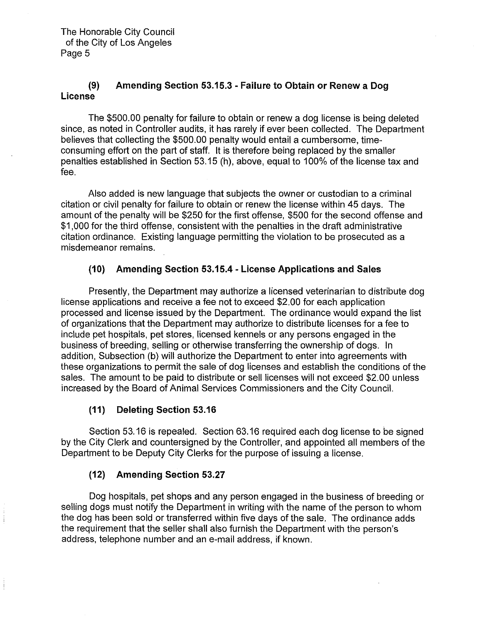# **(9) Amending Section 53.15.3- Failure to Obtain or Renew a Dog license**

The \$500.00 penalty for failure to obtain or renew a dog license is being deleted since, as noted in Controller audits, it has rarely if ever been collected. The Department believes that collecting the \$500.00 penalty would entail a cumbersome, timeconsuming effort on the part of staff. It is therefore being replaced by the smaller penalties established in Section 53.15 (h), above, equal to 100% of the license tax and fee.

Also added is new language that subjects the owner or custodian to a criminal citation or civil penalty for failure to obtain or renew the license within 45 days. The amount of the penalty will be \$250 for the first offense, \$500 for the second offense and \$1,000 for the third offense, consistent with the penalties in the draft administrative citation ordinance. Existing language permitting the violation to be prosecuted as a misdemeanor remains.

# **(10) Amending Section 53.15.4- License Applications and Sales**

Presently, the Department may authorize a licensed veterinarian to distribute dog license applications and receive a fee not to exceed \$2.00 for each application processed and license issued by the Department. The ordinance would expand the list of organizations that the Department may authorize to distribute licenses for a fee to include pet hospitals, pet stores, licensed kennels or any persons engaged in the business of breeding, selling or otherwise transferring the ownership of dogs. In addition, Subsection (b) will authorize the Department to enter into agreements with these organizations to permit the sale of dog licenses and establish the conditions of the sales. The amount to be paid to distribute or sell licenses will not exceed \$2.00 unless increased by the Board of Animal Services Commissioners and the City Council.

# **(11) Deleting Section 53.16**

Section 53.16 is repealed. Section 63.16 required each dog license to be signed by the City Clerk and countersigned by the Controller, and appointed all members of the Department to be Deputy City Clerks for the purpose of issuing a license.

# **(12) Amending Section 53.27**

Dog hospitals, pet shops and any person engaged in the business of breeding or selling dogs must notify the Department in writing with the name of the person to whom the dog has been sold or transferred within five days of the sale. The ordinance adds the requirement that the seller shall also furnish the Department with the person's address, telephone number and an e-mail address, if known.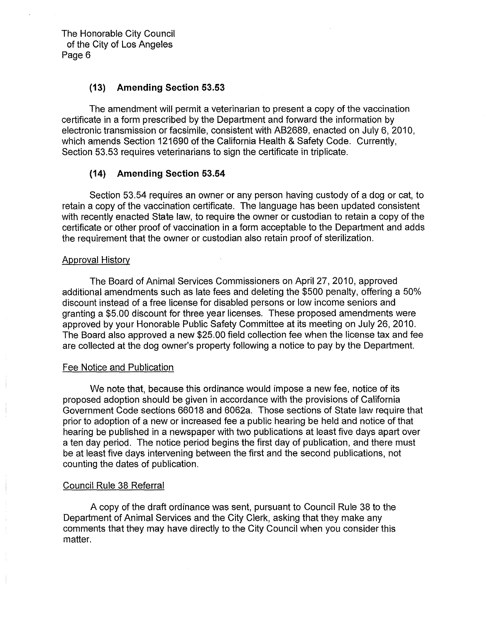#### **(13) Amending Section 53.53**

The amendment will permit a veterinarian to present a copy of the vaccination certificate in a form prescribed by the Department and forward the information by electronic transmission or facsimile, consistent with AB2689, enacted on July 6, 2010, which amends Section 121690 of the California Health & Safety Code. Currently, Section 53.53 requires veterinarians to sign the certificate in triplicate.

#### **(14) Amending Section 53.54**

Section 53.54 requires an owner or any person having custody of a dog or cat, to retain a copy of the vaccination certificate. The language has been updated consistent with recently enacted State law, to require the owner or custodian to retain a copy of the certificate or other proof of vaccination in a form acceptable to the Department and adds the requirement that the owner or custodian also retain proof of sterilization.

#### Approval History

The Board of Animal Services Commissioners on April 27, 2010, approved additional amendments such as late fees and deleting the \$500 penalty, offering a 50% discount instead of a free license for disabled persons or low income seniors and granting a \$5.00 discount for three year licenses. These proposed amendments were approved by your Honorable Public Safety Committee at its meeting on July 26, 2010. The Board also approved a new \$25.00 field collection fee when the license tax and fee are collected at the dog owner's property following a notice to pay by the Department.

#### Fee Notice and Publication

We note that, because this ordinance would impose a new fee, notice of its proposed adoption should be given in accordance with the provisions of California Government Code sections 66018 and 6062a. Those sections of State law require that prior to adoption of a new or increased fee a public hearing be held and notice of that hearing be published in a newspaper with two publications at least five days apart over a ten day period. The notice period begins the first day of publication, and there must be at least five days intervening between the first and the second publications, not counting the dates of publication.

#### Council Rule 38 Referral

A copy of the draft ordinance was sent, pursuant to Council Rule 38 to the Department of Animal Services and the City Clerk, asking that they make any comments that they may have directly to the City Council when you consider this matter.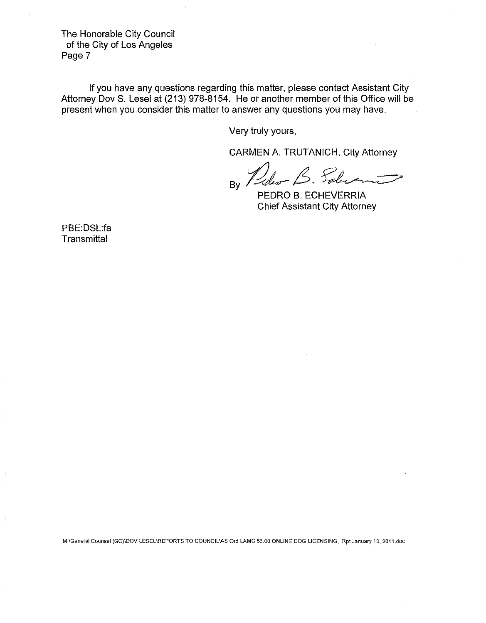If you have any questions regarding this matter, please contact Assistant City Attorney Dov S. Lesel at (213) 978-8154. He or another member of this Office will be present when you consider this matter to answer any questions you may have.

Very truly yours,

CARMEN A. TRUTANICH, City Attorney

 $B_8$  Puler B. Solution

PEDRO B. ECHEVERRIA Chief Assistant City Attorney

PBE:DSL:fa **Transmittal** 

M:\General Counsel (GC)\DOV LESEL\REPORTS TO COUNCIL\AS Ord LAMC 53.00 ONLINE DOG LICENSING, Rpt January 10, 2011.doc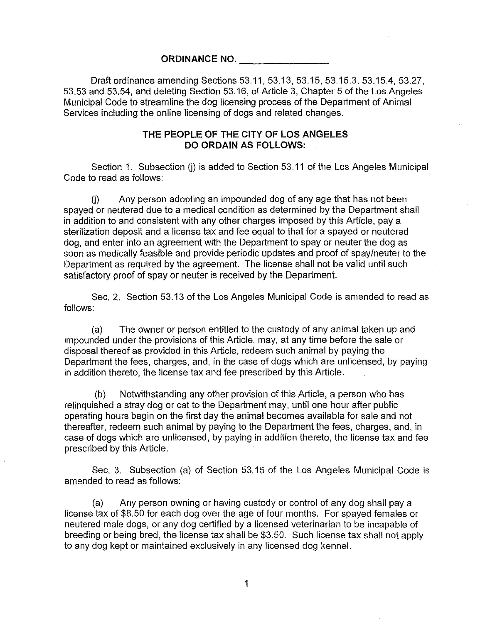#### **ORDINANCE NO.**

Draft ordinance amending Sections 53.11, 53.13, 53.15, 53.15.3, 53.15.4, 53.27, 53.53 and 53.54, and deleting Section 53.16, of Article 3, Chapter 5 of the Los Angeles Municipal Code to streamline the dog licensing process of the Department of Animal Services including the online licensing of dogs and related changes.

#### **THE PEOPLE OF THE CITY OF LOS ANGELES DO ORDAIN AS FOLLOWS:**

Section 1. Subsection (i) is added to Section 53.11 of the Los Angeles Municipal Code to read as follows:

 $(i)$  Any person adopting an impounded dog of any age that has not been spayed or neutered due to a medical condition as determined by the Department shall in addition to and consistent with any other charges imposed by this Article, pay a sterilization deposit and a license tax and fee equal to that for a spayed or neutered dog, and enter into an agreement with the Department to spay or neuter the dog as soon as medically feasible and provide periodic updates and proof of spay/neuter to the Department as required by the agreement. The license shall not be valid until such satisfactory proof of spay or neuter is received by the Department.

Sec. 2. Section 53.13 of the Los Angeles Municipal Code is amended to read as follows:

(a) The owner or person entitled to the custody of any animal taken up and impounded under the provisions of this Article, may, at any time before the sale or disposal thereof as provided in this Article, redeem such animal by paying the Department the fees, charges, and, in the case of dogs which are unlicensed, by paying in addition thereto, the license tax and fee prescribed by this Article.

(b) Notwithstanding any other provision of this Article, a person who has relinquished a stray dog or cat to the Department may, until one hour after public operating hours begin on the first day the animal becomes available for sale and not thereafter, redeem such animal by paying to the Department the fees, charges, and, in case of dogs which are unlicensed, by paying in addition thereto, the license tax and fee prescribed by this Article.

Sec. 3. Subsection (a) of Section 53.15 of the Los Angeles Municipal Code is amended to read as follows:

(a) Any person owning or having custody or control of any dog shall pay a license tax of \$8.50 for each dog over the age of four months. For spayed females or neutered male dogs, or any dog certified by a licensed veterinarian to be incapable of breeding or being bred, the license tax shall be \$3.50. Such license tax shall not apply to any dog kept or maintained exclusively in any licensed dog kennel.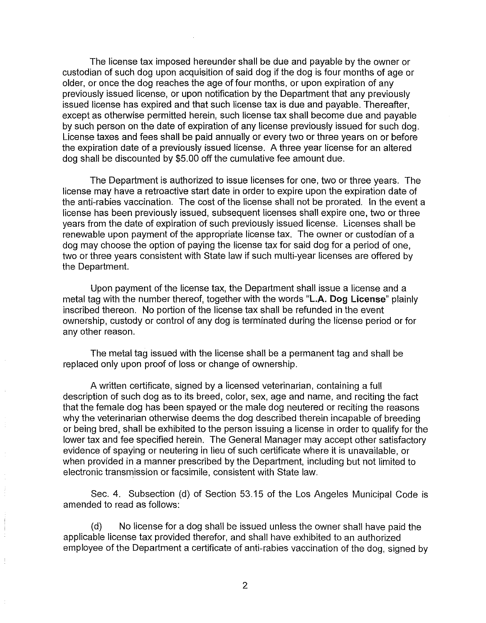The license tax imposed hereunder shall be due and payable by the owner or custodian of such dog upon acquisition of said dog if the dog is four months of age or older, or once the dog reaches the age of four months, or upon expiration of any previously issued license, or upon notification by the Department that any previously issued license has expired and that such license tax is due and payable. Thereafter, except as otherwise permitted herein, such license tax shall become due and payable by such person on the date of expiration of any license previously issued for such dog. License taxes and fees shall be paid annually or every two or three years on or before the expiration date of a previously issued license. A three year license for an altered dog shall be discounted by \$5.00 off the cumulative fee amount due.

The Department is authorized to issue licenses for one, two or three years. The license may have a retroactive start date in order to expire upon the expiration date of the anti-rabies vaccination. The cost of the license shall not be prorated. In the event a license has been previously issued, subsequent licenses shall expire one, two or three years from the date of expiration of such previously issued license. Licenses shall be renewable upon payment of the appropriate license tax. The owner or custodian of a dog may choose the option of paying the license tax for said dog for a period of one, two or three years consistent with State law if such multi-year licenses are offered by the Department.

Upon payment of the license tax, the Department shall issue a license and a metal tag with the number thereof, together with the words **"L.A. Dog License"** plainly inscribed thereon. No portion of the license tax shall be refunded in the event ownership, custody or control of any dog is terminated during the license period or for any other reason.

The metal tag issued with the license shall be a permanent tag and shall be replaced only upon proof of loss or change of ownership.

A written certificate, signed by a licensed veterinarian, containing a full description of such dog as to its breed, color, sex, age and name, and reciting the fact that the female dog has been spayed or the male dog neutered or reciting the reasons why the veterinarian otherwise deems the dog described therein incapable of breeding or being bred, shall be exhibited to the person issuing a license in order to qualify for the lower tax and fee specified herein. The General Manager may accept other satisfactory evidence of spaying or neutering in lieu of such certificate where it is unavailable, or when provided in a manner prescribed by the Department, including but not limited to electronic transmission or facsimile, consistent with State law.

Sec. 4. Subsection (d) of Section 53.15 of the Los Angeles Municipal Code is amended to read as follows:

(d) No license for a dog shall be issued unless the owner shall have paid the applicable license tax provided therefor, and shall have exhibited to an authorized employee of the Department a certificate of anti-rabies vaccination of the dog, signed by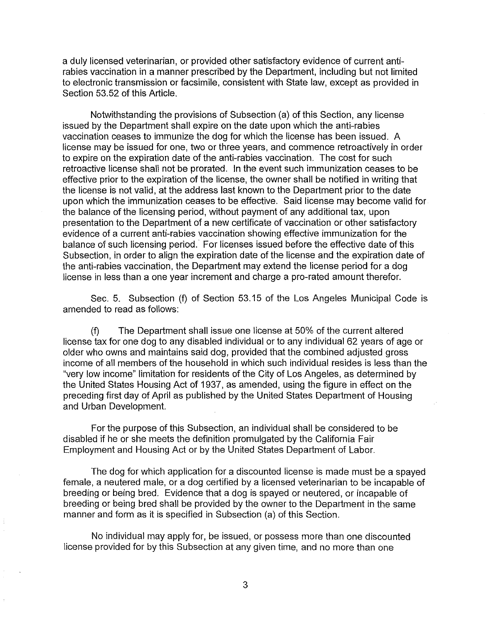a duly licensed veterinarian, or provided other satisfactory evidence of current antirabies vaccination in a manner prescribed by the Department, including but not limited to electronic transmission or facsimile, consistent with State law, except as provided in Section 53.52 of this Article.

Notwithstanding the provisions of Subsection (a) of this Section, any license issued by the Department shall expire on the date upon which the anti-rabies vaccination ceases to immunize the dog for which the license has been issued. A license may be issued for one, two or three years, and commence retroactively in order to expire on the expiration date of the anti-rabies vaccination. The cost for such retroactive license shall not be prorated. In the event such immunization ceases to be effective prior to the expiration of the license, the owner shall be notified in writing that the license is not valid, at the address last known to the Department prior to the date upon which the immunization ceases to be effective. Said license may become valid for the balance of the licensing period, without payment of any additional tax, upon presentation to the Department of a new certificate of vaccination or other satisfactory evidence of a current anti-rabies vaccination showing effective immunization for the balance of such licensing period. For licenses issued before the effective date of this Subsection, in order to align the expiration date of the license and the expiration date of the anti-rabies vaccination, the Department may extend the license period for a dog license in less than a one year increment and charge a pro-rated amount therefor.

Sec. 5. Subsection (f) of Section 53.15 of the Los Angeles Municipal Code is amended to read as follows:

(f) The Department shall issue one license at 50% of the current altered license tax for one dog to any disabled individual or to any individual 62 years of age or older who owns and maintains said dog, provided that the combined adjusted gross income of all members of the household in which such individual resides is less than the "very low income" limitation for residents of the City of Los Angeles, as determined by the United States Housing Act of 1937, as amended, using the figure in effect on the preceding first day of April as published by the United States Department of Housing and Urban Development.

For the purpose of this Subsection, an individual shall be considered to be disabled if he or she meets the definition promulgated by the California Fair Employment and Housing Act or by the United States Department of Labor.

The dog for which application for a discounted license is made must be a spayed female, a neutered male, or a dog certified by a licensed veterinarian to be incapable of breeding or being bred. Evidence that a dog is spayed or neutered, or incapable of breeding or being bred shall be provided by the owner to the Department in the same manner and form as it is specified in Subsection (a) of this Section.

No individual may apply for, be issued, or possess more than one discounted license provided for by this Subsection at any given time, and no more than one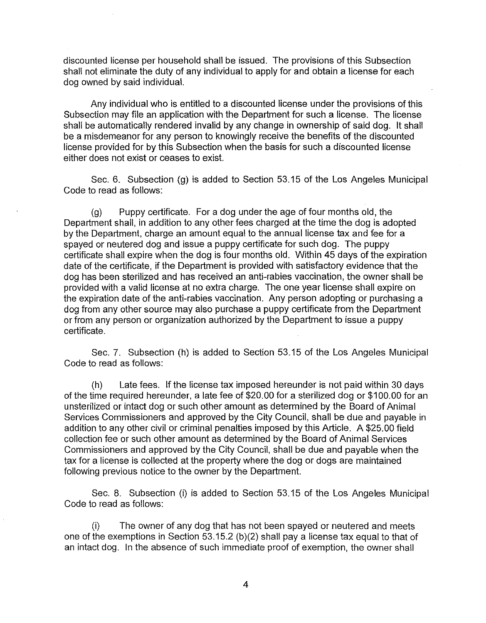discounted license per household shall be issued. The provisions of this Subsection shall not eliminate the duty of any individual to apply for and obtain a license for each dog owned by said individual.

Any individual who is entitled to a discounted license under the provisions of this Subsection may file an application with the Department for such a license. The license shall be automatically rendered invalid by any change in ownership of said dog. It shall be a misdemeanor for any person to knowingly receive the benefits of the discounted license provided for by this Subsection when the basis for such a discounted license either does not exist or ceases to exist.

Sec. 6. Subsection (g) is added to Section 53.15 of the Los Angeles Municipal Code to read as follows:

(g) Puppy certificate. For a dog under the age of four months old, the Department shall, in addition to any other fees charged at the time the dog is adopted by the Department, charge an amount equal to the annual license tax and fee for a spayed or neutered dog and issue a puppy certificate for such dog. The puppy certificate shall expire when the dog is four months old. Within 45 days of the expiration date of the certificate, if the Department is provided with satisfactory evidence that the dog has been sterilized and has received an anti-rabies vaccination, the owner shall be provided with a valid license at no extra charge. The one year license shall expire on the expiration date of the anti-rabies vaccination. Any person adopting or purchasing a dog from any other source may also purchase a puppy certificate from the Department or from any person or organization authorized by the Department to issue a puppy certificate.

Sec. 7. Subsection (h) is added to Section 53.15 of the Los Angeles Municipal Code to read as follows:

(h) Late fees. If the license tax imposed hereunder is not paid within 30 days of the time required hereunder, a late fee of \$20.00 for a sterilized dog or \$100.00 for an unsterilized or intact dog or such other amount as determined by the Board of Animal Services Commissioners and approved by the City Council, shall be due and payable in addition to any other civil or criminal penalties imposed by this Article. A \$25.00 field collection fee or such other amount as determined by the Board of Animal Services Commissioners and approved by the City Council, shall be due and payable when the tax for a license is collected at the property where the dog or dogs are maintained following previous notice to the owner by the Department.

Sec. 8. Subsection (i) is added to Section 53.15 of the Los Angeles Municipal Code to read as follows:

(i) The owner of any dog that has not been spayed or neutered and meets one of the exemptions in Section 53.15.2 (b)(2) shall pay a license tax equal to that of an intact dog. In the absence of such immediate proof of exemption, the owner shall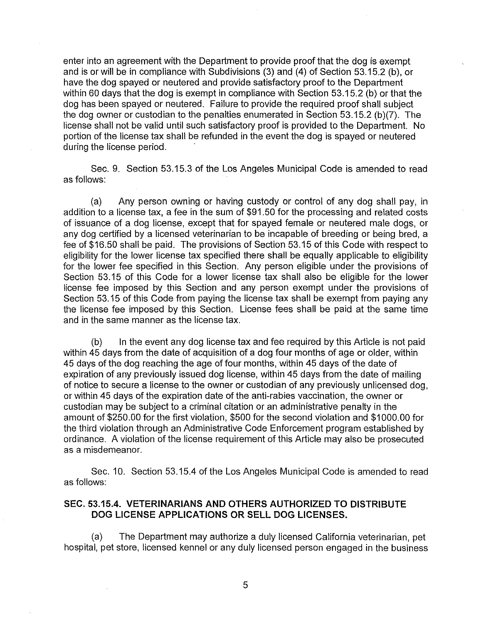enter into an agreement with the Department to provide proof that the dog is exempt and is or will be in compliance with Subdivisions (3) and (4) of Section 53.15.2 (b), or have the dog spayed or neutered and provide satisfactory proof to the Department within 60 days that the dog is exempt in compliance with Section 53.15.2 (b) or that the dog has been spayed or neutered. Failure to provide the required proof shall subject the dog owner or custodian to the penalties enumerated in Section 53.15.2 (b)(7). The license shall not be valid until such satisfactory proof is provided to the Department. No portion of the license tax shall be refunded in the event the dog is spayed or neutered during the license period.

Sec. 9. Section 53.15.3 of the Los Angeles Municipal Code is amended to read as follows:

(a) Any person owning or having custody or control of any dog shall pay, in addition to a license tax, a fee in the sum of \$91.50 for the processing and related costs of issuance of a dog license, except that for spayed female or neutered male dogs, or any dog certified by a licensed veterinarian to be incapable of breeding or being bred, a fee of \$16.50 shall be paid. The provisions of Section 53.15 of this Code with respect to eligibility for the lower license tax specified there shall be equally applicable to eligibility for the lower fee specified in this Section. Any person eligible under the provisions of Section 53.15 of this Code for a lower license tax shall also be eligible for the lower license fee imposed by this Section and any person exempt under the provisions of Section 53.15 of this Code from paying the license tax shall be exempt from paying any the license fee imposed by this Section. License fees shall be paid at the same time and in the same manner as the license tax.

 $(b)$  In the event any dog license tax and fee required by this Article is not paid within 45 days from the date of acquisition of a dog four months of age or older, within 45 days of the dog reaching the age of four months, within 45 days of the date of expiration of any previously issued dog license, within 45 days from the date of mailing of notice to secure a license to the owner or custodian of any previously unlicensed dog, or within 45 days of the expiration date of the anti-rabies vaccination, the owner or custodian may be subject to a criminal citation or an administrative penalty in the amount of \$250.00 for the first violation, \$500 for the second violation and \$1000.00 for the third violation through an Administrative Code Enforcement program established by ordinance. A violation of the license requirement of this Article may also be prosecuted as a misdemeanor.

Sec. 10. Section 53.15.4 of the Los Angeles Municipal Code is amended to read as follows:

### **SEC. 53.15.4. VETERINARIANS AND OTHERS AUTHORIZED TO DISTRIBUTE DOG LICENSE APPLICATIONS OR SELL DOG LICENSES.**

(a) The Department may authorize a duly licensed California veterinarian, pet hospital, pet store, licensed kennel or any duly licensed person engaged in the business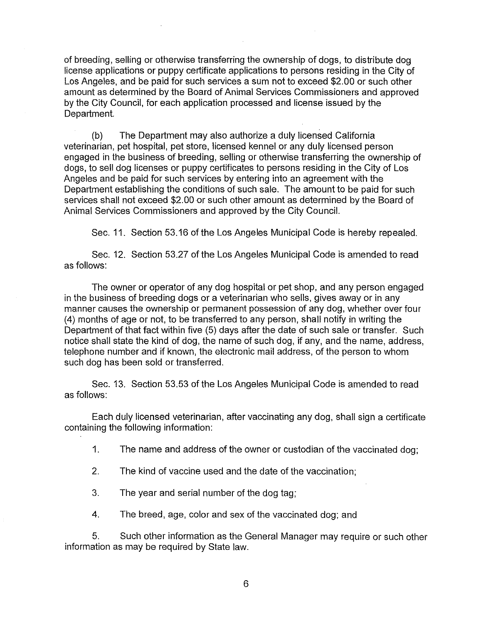of breeding, selling or otherwise transferring the ownership of dogs, to distribute dog license applications or puppy certificate applications to persons residing in the City of Los Angeles, and be paid for such services a sum not to exceed \$2.00 or such other amount as determined by the Board of Animal Services Commissioners and approved by the City Council, for each application processed and license issued by the Department

(b) The Department may also authorize a duly licensed California veterinarian, pet hospital, pet store, licensed kennel or any duly licensed person engaged in the business of breeding, selling or otherwise transferring the ownership of dogs, to sell dog licenses or puppy certificates to persons residing in the City of Los Angeles and be paid for such services by entering into an agreement with the Department establishing the conditions of such sale. The amount to be paid for such services shall not exceed \$2.00 or such other amount as determined by the Board of Animal Services Commissioners and approved by the City Council.

Sec. 11. Section 53.16 of the Los Angeles Municipal Code is hereby repealed.

Sec. 12. Section 53.27 of the Los Angeles Municipal Code is amended to read as follows:

The owner or operator of any dog hospital or pet shop, and any person engaged in the business of breeding dogs or a veterinarian who sells, gives away or in any manner causes the ownership or permanent possession of any dog, whether over four (4) months of age or not, to be transferred to any person, shall notify in writing the Department of that fact within five (5) days after the date of such sale or transfer. Such notice shall state the kind of dog, the name of such dog, if any, and the name, address, telephone number and if known, the electronic mail address, of the person to whom such dog has been sold or transferred.

Sec. 13. Section 53.53 of the Los Angeles Municipal Code is amended to read as follows:

Each duly licensed veterinarian, after vaccinating any dog, shall sign a certificate containing the following information:

1. The name and address of the owner or custodian of the vaccinated dog;

2. The kind of vaccine used and the date of the vaccination;

3. The year and serial number of the dog tag;

4. The breed, age, color and sex of the vaccinated dog; and

5. Such other information as the General Manager may require or such other information as may be required by State law.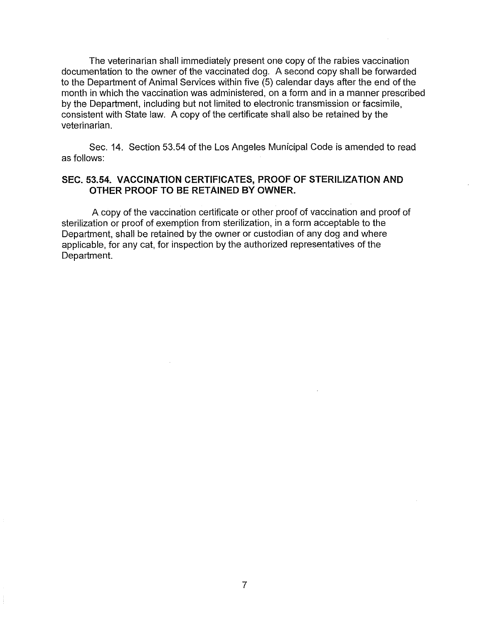The veterinarian shall immediately present one copy of the rabies vaccination documentation to the owner of the vaccinated dog. A second copy shall be forwarded to the Department of Animal Services within five (5) calendar days after the end of the month in which the vaccination was administered, on a form and in a manner prescribed by the Department, including but not limited to electronic transmission or facsimile, consistent with State law. A copy of the certificate shall also be retained by the veterinarian.

Sec. 14. Section 53.54 of the Los Angeles Municipal Code is amended to read as follows:

### **SEC. 53.54. VACCINATION CERTIFICATES, PROOF OF STERILIZATION AND OTHER PROOF TO BE RETAINED BY OWNER.**

A copy of the vaccination certificate or other proof of vaccination and proof of sterilization or proof of exemption from sterilization, in a form acceptable to the Department, shall be retained by the owner or custodian of any dog and where applicable, for any cat, for inspection by the authorized representatives of the Department.